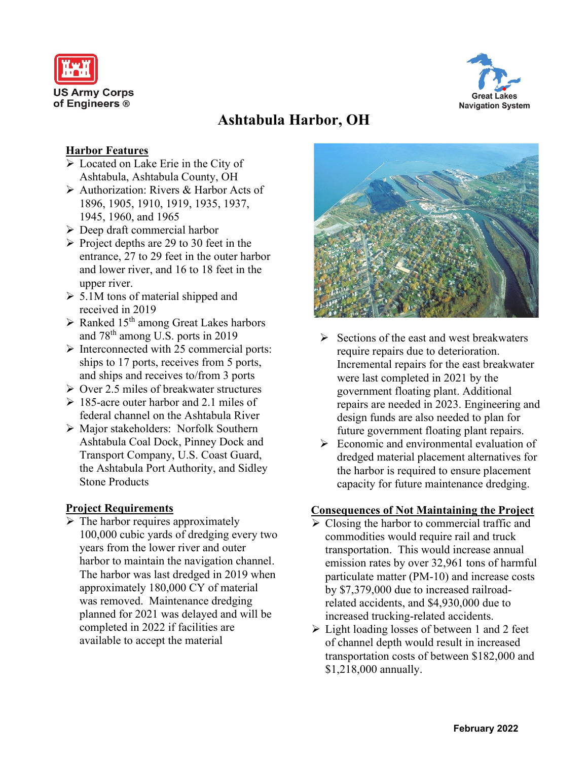



# **Ashtabula Harbor, OH**

### **Harbor Features**

- ➢ Located on Lake Erie in the City of Ashtabula, Ashtabula County, OH
- ➢ Authorization: Rivers & Harbor Acts of 1896, 1905, 1910, 1919, 1935, 1937, 1945, 1960, and 1965
- ➢ Deep draft commercial harbor
- $\triangleright$  Project depths are 29 to 30 feet in the entrance, 27 to 29 feet in the outer harbor and lower river, and 16 to 18 feet in the upper river.
- $\geq 5.1M$  tons of material shipped and received in 2019
- $\triangleright$  Ranked 15<sup>th</sup> among Great Lakes harbors and 78th among U.S. ports in 2019
- $\triangleright$  Interconnected with 25 commercial ports: ships to 17 ports, receives from 5 ports, and ships and receives to/from 3 ports
- $\geq$  Over 2.5 miles of breakwater structures
- $\geq 185$ -acre outer harbor and 2.1 miles of federal channel on the Ashtabula River
- ➢ Major stakeholders: Norfolk Southern Ashtabula Coal Dock, Pinney Dock and Transport Company, U.S. Coast Guard, the Ashtabula Port Authority, and Sidley Stone Products

### **Project Requirements**

 $\triangleright$  The harbor requires approximately 100,000 cubic yards of dredging every two years from the lower river and outer harbor to maintain the navigation channel. The harbor was last dredged in 2019 when approximately 180,000 CY of material was removed. Maintenance dredging planned for 2021 was delayed and will be completed in 2022 if facilities are available to accept the material



- ➢ Sections of the east and west breakwaters require repairs due to deterioration. Incremental repairs for the east breakwater were last completed in 2021 by the government floating plant. Additional repairs are needed in 2023. Engineering and design funds are also needed to plan for future government floating plant repairs.
- $\triangleright$  Economic and environmental evaluation of dredged material placement alternatives for the harbor is required to ensure placement capacity for future maintenance dredging.

### **Consequences of Not Maintaining the Project**

- $\triangleright$  Closing the harbor to commercial traffic and commodities would require rail and truck transportation. This would increase annual emission rates by over 32,961 tons of harmful particulate matter (PM-10) and increase costs by \$7,379,000 due to increased railroadrelated accidents, and \$4,930,000 due to increased trucking-related accidents.
- ➢ Light loading losses of between 1 and 2 feet of channel depth would result in increased transportation costs of between \$182,000 and \$1,218,000 annually.